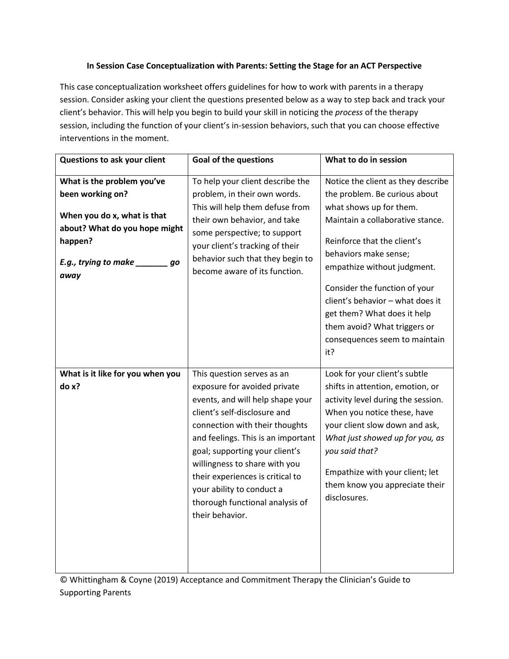## **In Session Case Conceptualization with Parents: Setting the Stage for an ACT Perspective**

This case conceptualization worksheet offers guidelines for how to work with parents in a therapy session. Consider asking your client the questions presented below as a way to step back and track your client's behavior. This will help you begin to build your skill in noticing the *process* of the therapy session, including the function of your client's in-session behaviors, such that you can choose effective interventions in the moment.

| Questions to ask your client                                                                                                                                            | <b>Goal of the questions</b>                                                                                                                                                                                                                                                                                                                                                                     | What to do in session                                                                                                                                                                                                                                                                                                                                                                                 |
|-------------------------------------------------------------------------------------------------------------------------------------------------------------------------|--------------------------------------------------------------------------------------------------------------------------------------------------------------------------------------------------------------------------------------------------------------------------------------------------------------------------------------------------------------------------------------------------|-------------------------------------------------------------------------------------------------------------------------------------------------------------------------------------------------------------------------------------------------------------------------------------------------------------------------------------------------------------------------------------------------------|
| What is the problem you've<br>been working on?<br>When you do x, what is that<br>about? What do you hope might<br>happen?<br>E.g., trying to make __________ go<br>away | To help your client describe the<br>problem, in their own words.<br>This will help them defuse from<br>their own behavior, and take<br>some perspective; to support<br>your client's tracking of their<br>behavior such that they begin to<br>become aware of its function.                                                                                                                      | Notice the client as they describe<br>the problem. Be curious about<br>what shows up for them.<br>Maintain a collaborative stance.<br>Reinforce that the client's<br>behaviors make sense;<br>empathize without judgment.<br>Consider the function of your<br>client's behavior - what does it<br>get them? What does it help<br>them avoid? What triggers or<br>consequences seem to maintain<br>it? |
| What is it like for you when you<br>do x?                                                                                                                               | This question serves as an<br>exposure for avoided private<br>events, and will help shape your<br>client's self-disclosure and<br>connection with their thoughts<br>and feelings. This is an important<br>goal; supporting your client's<br>willingness to share with you<br>their experiences is critical to<br>your ability to conduct a<br>thorough functional analysis of<br>their behavior. | Look for your client's subtle<br>shifts in attention, emotion, or<br>activity level during the session.<br>When you notice these, have<br>your client slow down and ask,<br>What just showed up for you, as<br>you said that?<br>Empathize with your client; let<br>them know you appreciate their<br>disclosures.                                                                                    |

© Whittingham & Coyne (2019) Acceptance and Commitment Therapy the Clinician's Guide to Supporting Parents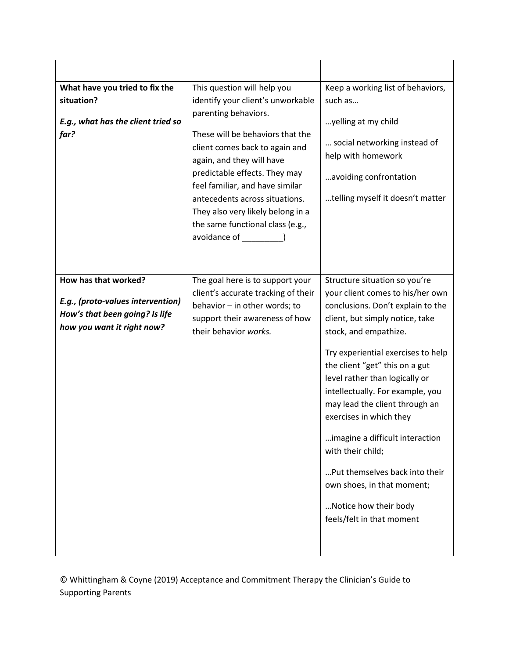| What have you tried to fix the<br>situation?<br>E.g., what has the client tried so<br>far?                                | This question will help you<br>identify your client's unworkable<br>parenting behaviors.<br>These will be behaviors that the<br>client comes back to again and<br>again, and they will have<br>predictable effects. They may<br>feel familiar, and have similar<br>antecedents across situations.<br>They also very likely belong in a<br>the same functional class (e.g.,<br>avoidance of [1997] | Keep a working list of behaviors,<br>such as<br>yelling at my child<br>social networking instead of<br>help with homework<br>avoiding confrontation<br>telling myself it doesn't matter                                                                                                                                                                                                                                                                                                                                                                     |
|---------------------------------------------------------------------------------------------------------------------------|---------------------------------------------------------------------------------------------------------------------------------------------------------------------------------------------------------------------------------------------------------------------------------------------------------------------------------------------------------------------------------------------------|-------------------------------------------------------------------------------------------------------------------------------------------------------------------------------------------------------------------------------------------------------------------------------------------------------------------------------------------------------------------------------------------------------------------------------------------------------------------------------------------------------------------------------------------------------------|
| How has that worked?<br>E.g., (proto-values intervention)<br>How's that been going? Is life<br>how you want it right now? | The goal here is to support your<br>client's accurate tracking of their<br>behavior - in other words; to<br>support their awareness of how<br>their behavior works.                                                                                                                                                                                                                               | Structure situation so you're<br>your client comes to his/her own<br>conclusions. Don't explain to the<br>client, but simply notice, take<br>stock, and empathize.<br>Try experiential exercises to help<br>the client "get" this on a gut<br>level rather than logically or<br>intellectually. For example, you<br>may lead the client through an<br>exercises in which they<br>imagine a difficult interaction<br>with their child;<br>Put themselves back into their<br>own shoes, in that moment;<br>Notice how their body<br>feels/felt in that moment |

© Whittingham & Coyne (2019) Acceptance and Commitment Therapy the Clinician's Guide to Supporting Parents